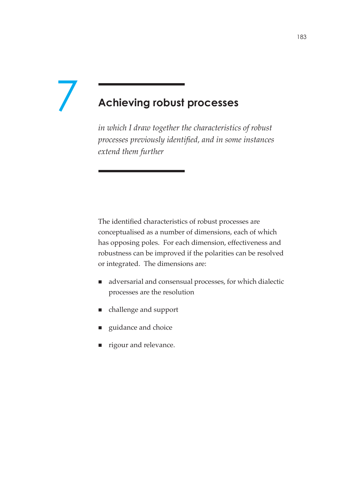# **Achieving robust processes** 7

*in which I draw together the characteristics of robust processes previously identified, and in some instances extend them further*

The identified characteristics of robust processes are conceptualised as a number of dimensions, each of which has opposing poles. For each dimension, effectiveness and robustness can be improved if the polarities can be resolved or integrated. The dimensions are:

- adversarial and consensual processes, for which dialectic processes are the resolution
- challenge and support
- guidance and choice
- **rigour and relevance.**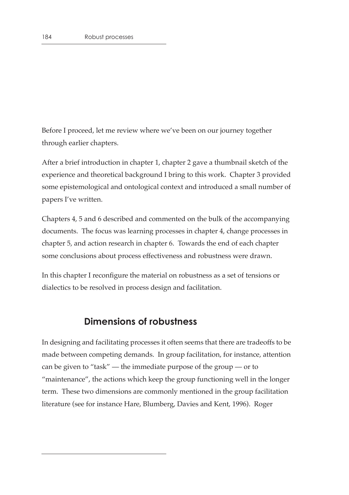Before I proceed, let me review where we've been on our journey together through earlier chapters.

After a brief introduction in chapter 1, chapter 2 gave a thumbnail sketch of the experience and theoretical background I bring to this work. Chapter 3 provided some epistemological and ontological context and introduced a small number of papers I've written.

Chapters 4, 5 and 6 described and commented on the bulk of the accompanying documents. The focus was learning processes in chapter 4, change processes in chapter 5, and action research in chapter 6. Towards the end of each chapter some conclusions about process effectiveness and robustness were drawn.

In this chapter I reconfigure the material on robustness as a set of tensions or dialectics to be resolved in process design and facilitation.

## **Dimensions of robustness**

In designing and facilitating processes it often seems that there are tradeoffs to be made between competing demands. In group facilitation, for instance, attention can be given to "task" — the immediate purpose of the group — or to "maintenance", the actions which keep the group functioning well in the longer term. These two dimensions are commonly mentioned in the group facilitation literature (see for instance Hare, Blumberg, Davies and Kent, 1996). Roger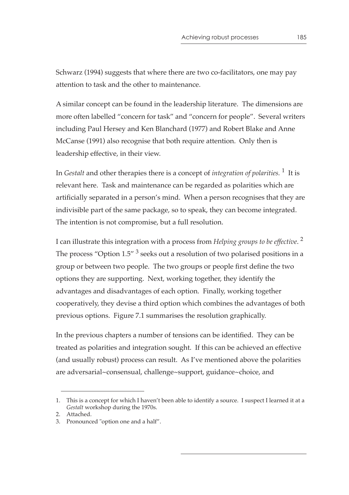Schwarz (1994) suggests that where there are two co-facilitators, one may pay attention to task and the other to maintenance.

A similar concept can be found in the leadership literature. The dimensions are more often labelled "concern for task" and "concern for people". Several writers including Paul Hersey and Ken Blanchard (1977) and Robert Blake and Anne McCanse (1991) also recognise that both require attention. Only then is leadership effective, in their view.

In *Gestalt* and other therapies there is a concept of *integration of polarities.* 1 It is relevant here. Task and maintenance can be regarded as polarities which are artificially separated in a person's mind. When a person recognises that they are indivisible part of the same package, so to speak, they can become integrated. The intention is not compromise, but a full resolution.

I can illustrate this integration with a process from *Helping groups to be effective*. 2 The process "Option  $1.5''$ <sup>3</sup> seeks out a resolution of two polarised positions in a group or between two people. The two groups or people first define the two options they are supporting. Next, working together, they identify the advantages and disadvantages of each option. Finally, working together cooperatively, they devise a third option which combines the advantages of both previous options. Figure 7.1 summarises the resolution graphically.

In the previous chapters a number of tensions can be identified. They can be treated as polarities and integration sought. If this can be achieved an effective (and usually robust) process can result. As I've mentioned above the polarities are adversarial~consensual, challenge~support, guidance~choice, and

<sup>1.</sup> This is a concept for which I haven't been able to identify a source. I suspect I learned it at a *Gestalt* workshop during the 1970s.

<sup>2.</sup> Attached.

<sup>3.</sup> Pronounced "option one and a half".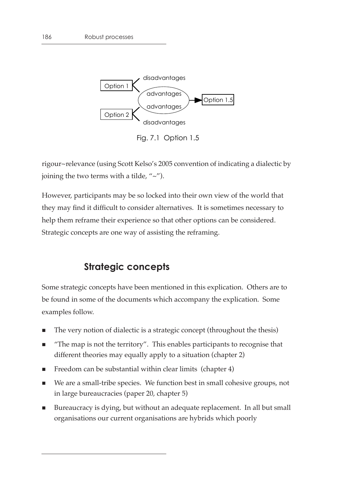

Fig. 7.1 Option 1.5

rigour~relevance (using Scott Kelso's 2005 convention of indicating a dialectic by joining the two terms with a tilde, "~").

However, participants may be so locked into their own view of the world that they may find it difficult to consider alternatives. It is sometimes necessary to help them reframe their experience so that other options can be considered. Strategic concepts are one way of assisting the reframing.

# **Strategic concepts**

Some strategic concepts have been mentioned in this explication. Others are to be found in some of the documents which accompany the explication. Some examples follow.

- The very notion of dialectic is a strategic concept (throughout the thesis)
- "The map is not the territory". This enables participants to recognise that different theories may equally apply to a situation (chapter 2)
- Freedom can be substantial within clear limits (chapter 4)
- We are a small-tribe species. We function best in small cohesive groups, not in large bureaucracies (paper 20, chapter 5)
- Bureaucracy is dying, but without an adequate replacement. In all but small organisations our current organisations are hybrids which poorly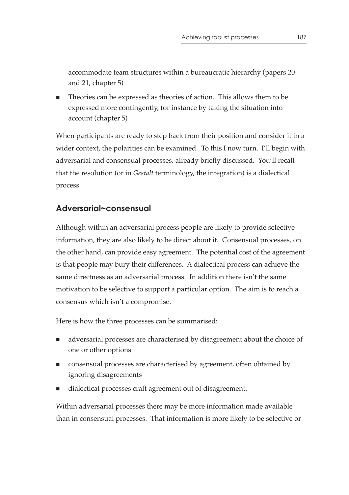accommodate team structures within a bureaucratic hierarchy (papers 20 and 21, chapter 5)

 Theories can be expressed as theories of action. This allows them to be expressed more contingently, for instance by taking the situation into account (chapter 5)

When participants are ready to step back from their position and consider it in a wider context, the polarities can be examined. To this I now turn. I'll begin with adversarial and consensual processes, already briefly discussed. You'll recall that the resolution (or in *Gestalt* terminology, the integration) is a dialectical process.

## **Adversarial~consensual**

Although within an adversarial process people are likely to provide selective information, they are also likely to be direct about it. Consensual processes, on the other hand, can provide easy agreement. The potential cost of the agreement is that people may bury their differences. A dialectical process can achieve the same directness as an adversarial process. In addition there isn't the same motivation to be selective to support a particular option. The aim is to reach a consensus which isn't a compromise.

Here is how the three processes can be summarised:

- adversarial processes are characterised by disagreement about the choice of one or other options
- consensual processes are characterised by agreement, often obtained by ignoring disagreements
- dialectical processes craft agreement out of disagreement.

Within adversarial processes there may be more information made available than in consensual processes. That information is more likely to be selective or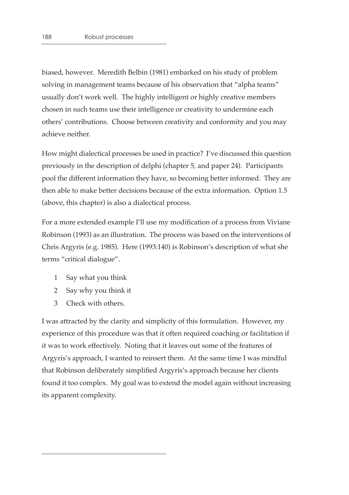biased, however. Meredith Belbin (1981) embarked on his study of problem solving in management teams because of his observation that "alpha teams" usually don't work well. The highly intelligent or highly creative members chosen in such teams use their intelligence or creativity to undermine each others' contributions. Choose between creativity and conformity and you may achieve neither.

How might dialectical processes be used in practice? I've discussed this question previously in the description of delphi (chapter 5, and paper 24). Participants pool the different information they have, so becoming better informed. They are then able to make better decisions because of the extra information. Option 1.5 (above, this chapter) is also a dialectical process.

For a more extended example I'll use my modification of a process from Viviane Robinson (1993) as an illustration. The process was based on the interventions of Chris Argyris (e.g. 1985). Here (1993:140) is Robinson's description of what she terms "critical dialogue".

- 1 Say what you think
- 2 Say why you think it
- 3 Check with others.

I was attracted by the clarity and simplicity of this formulation. However, my experience of this procedure was that it often required coaching or facilitation if it was to work effectively. Noting that it leaves out some of the features of Argyris's approach, I wanted to reinsert them. At the same time I was mindful that Robinson deliberately simplified Argyris's approach because her clients found it too complex. My goal was to extend the model again without increasing its apparent complexity.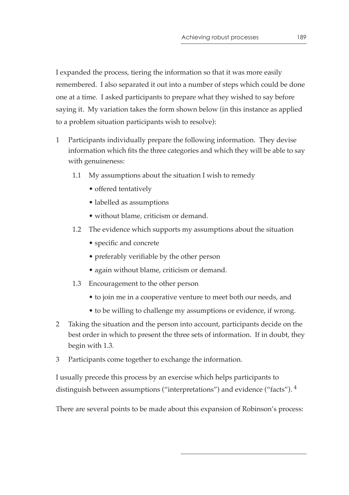I expanded the process, tiering the information so that it was more easily remembered. I also separated it out into a number of steps which could be done one at a time. I asked participants to prepare what they wished to say before saying it. My variation takes the form shown below (in this instance as applied to a problem situation participants wish to resolve):

- 1 Participants individually prepare the following information. They devise information which fits the three categories and which they will be able to say with genuineness:
	- 1.1 My assumptions about the situation I wish to remedy
		- offered tentatively
		- labelled as assumptions
		- without blame, criticism or demand.
	- 1.2 The evidence which supports my assumptions about the situation
		- specific and concrete
		- preferably verifiable by the other person
		- again without blame, criticism or demand.
	- 1.3 Encouragement to the other person
		- to join me in a cooperative venture to meet both our needs, and
		- to be willing to challenge my assumptions or evidence, if wrong.
- 2 Taking the situation and the person into account, participants decide on the best order in which to present the three sets of information. If in doubt, they begin with 1.3.
- 3 Participants come together to exchange the information.

I usually precede this process by an exercise which helps participants to distinguish between assumptions ("interpretations") and evidence ("facts"). <sup>4</sup>

There are several points to be made about this expansion of Robinson's process: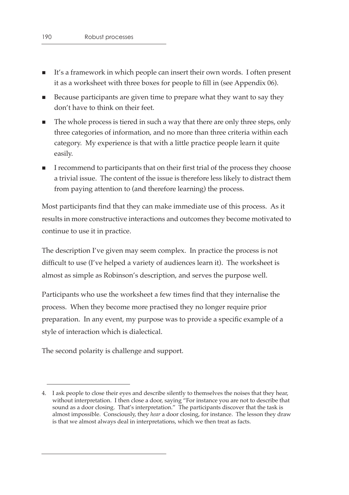- It's a framework in which people can insert their own words. I often present it as a worksheet with three boxes for people to fill in (see Appendix 06).
- Because participants are given time to prepare what they want to say they don't have to think on their feet.
- The whole process is tiered in such a way that there are only three steps, only three categories of information, and no more than three criteria within each category. My experience is that with a little practice people learn it quite easily.
- I recommend to participants that on their first trial of the process they choose a trivial issue. The content of the issue is therefore less likely to distract them from paying attention to (and therefore learning) the process.

Most participants find that they can make immediate use of this process. As it results in more constructive interactions and outcomes they become motivated to continue to use it in practice.

The description I've given may seem complex. In practice the process is not difficult to use (I've helped a variety of audiences learn it). The worksheet is almost as simple as Robinson's description, and serves the purpose well.

Participants who use the worksheet a few times find that they internalise the process. When they become more practised they no longer require prior preparation. In any event, my purpose was to provide a specific example of a style of interaction which is dialectical.

The second polarity is challenge and support.

<sup>4.</sup> I ask people to close their eyes and describe silently to themselves the noises that they hear, without interpretation. I then close a door, saying "For instance you are not to describe that sound as a door closing. That's interpretation." The participants discover that the task is almost impossible. Consciously, they *hear* a door closing, for instance. The lesson they draw is that we almost always deal in interpretations, which we then treat as facts.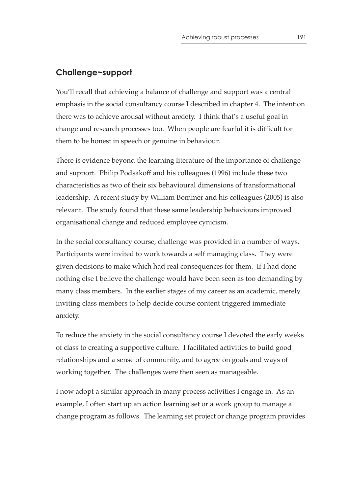#### **Challenge~support**

You'll recall that achieving a balance of challenge and support was a central emphasis in the social consultancy course I described in chapter 4. The intention there was to achieve arousal without anxiety. I think that's a useful goal in change and research processes too. When people are fearful it is difficult for them to be honest in speech or genuine in behaviour.

There is evidence beyond the learning literature of the importance of challenge and support. Philip Podsakoff and his colleagues (1996) include these two characteristics as two of their six behavioural dimensions of transformational leadership. A recent study by William Bommer and his colleagues (2005) is also relevant. The study found that these same leadership behaviours improved organisational change and reduced employee cynicism.

In the social consultancy course, challenge was provided in a number of ways. Participants were invited to work towards a self managing class. They were given decisions to make which had real consequences for them. If I had done nothing else I believe the challenge would have been seen as too demanding by many class members. In the earlier stages of my career as an academic, merely inviting class members to help decide course content triggered immediate anxiety.

To reduce the anxiety in the social consultancy course I devoted the early weeks of class to creating a supportive culture. I facilitated activities to build good relationships and a sense of community, and to agree on goals and ways of working together. The challenges were then seen as manageable.

I now adopt a similar approach in many process activities I engage in. As an example, I often start up an action learning set or a work group to manage a change program as follows. The learning set project or change program provides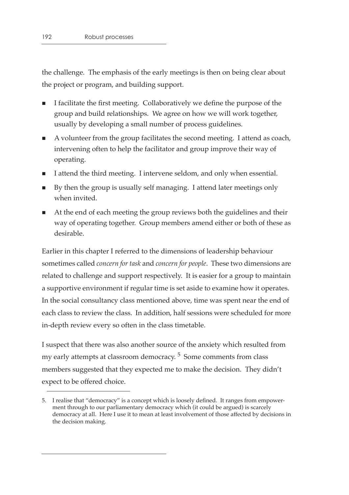the challenge. The emphasis of the early meetings is then on being clear about the project or program, and building support.

- I facilitate the first meeting. Collaboratively we define the purpose of the group and build relationships. We agree on how we will work together, usually by developing a small number of process guidelines.
- A volunteer from the group facilitates the second meeting. I attend as coach, intervening often to help the facilitator and group improve their way of operating.
- I attend the third meeting. I intervene seldom, and only when essential.
- By then the group is usually self managing. I attend later meetings only when invited.
- At the end of each meeting the group reviews both the guidelines and their way of operating together. Group members amend either or both of these as desirable.

Earlier in this chapter I referred to the dimensions of leadership behaviour sometimes called *concern for task* and *concern for people*. These two dimensions are related to challenge and support respectively. It is easier for a group to maintain a supportive environment if regular time is set aside to examine how it operates. In the social consultancy class mentioned above, time was spent near the end of each class to review the class. In addition, half sessions were scheduled for more in-depth review every so often in the class timetable.

I suspect that there was also another source of the anxiety which resulted from my early attempts at classroom democracy.<sup>5</sup> Some comments from class members suggested that they expected me to make the decision. They didn't expect to be offered choice.

<sup>5.</sup> I realise that "democracy" is a concept which is loosely defined. It ranges from empowerment through to our parliamentary democracy which (it could be argued) is scarcely democracy at all. Here I use it to mean at least involvement of those affected by decisions in the decision making.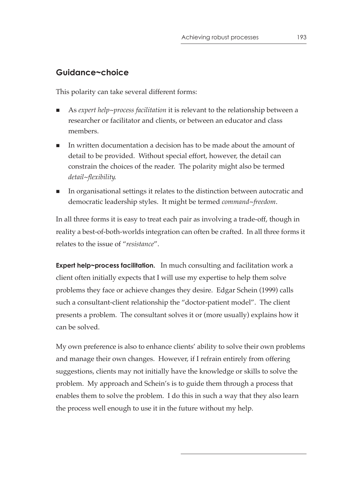# **Guidance~choice**

This polarity can take several different forms:

- As *expert help~process facilitation* it is relevant to the relationship between a researcher or facilitator and clients, or between an educator and class members.
- In written documentation a decision has to be made about the amount of detail to be provided. Without special effort, however, the detail can constrain the choices of the reader. The polarity might also be termed *detail~flexibility*.
- In organisational settings it relates to the distinction between autocratic and democratic leadership styles. It might be termed *command~freedom*.

In all three forms it is easy to treat each pair as involving a trade-off, though in reality a best-of-both-worlds integration can often be crafted. In all three forms it relates to the issue of "*resistance*".

**Expert help~process facilitation.** In much consulting and facilitation work a client often initially expects that I will use my expertise to help them solve problems they face or achieve changes they desire. Edgar Schein (1999) calls such a consultant-client relationship the "doctor-patient model". The client presents a problem. The consultant solves it or (more usually) explains how it can be solved.

My own preference is also to enhance clients' ability to solve their own problems and manage their own changes. However, if I refrain entirely from offering suggestions, clients may not initially have the knowledge or skills to solve the problem. My approach and Schein's is to guide them through a process that enables them to solve the problem. I do this in such a way that they also learn the process well enough to use it in the future without my help.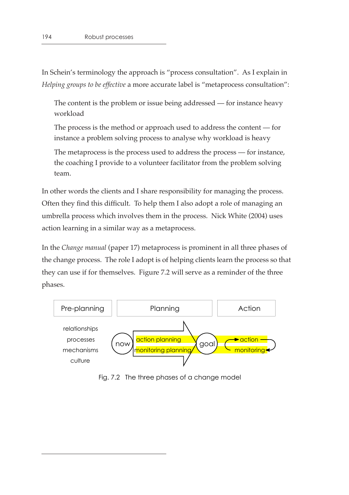In Schein's terminology the approach is "process consultation". As I explain in *Helping groups to be effective* a more accurate label is "metaprocess consultation":

The content is the problem or issue being addressed — for instance heavy workload

The process is the method or approach used to address the content — for instance a problem solving process to analyse why workload is heavy

The metaprocess is the process used to address the process — for instance, the coaching I provide to a volunteer facilitator from the problem solving team.

In other words the clients and I share responsibility for managing the process. Often they find this difficult. To help them I also adopt a role of managing an umbrella process which involves them in the process. Nick White (2004) uses action learning in a similar way as a metaprocess.

In the *Change manual* (paper 17) metaprocess is prominent in all three phases of the change process. The role I adopt is of helping clients learn the process so that they can use if for themselves. Figure 7.2 will serve as a reminder of the three phases.



Fig. 7.2 The three phases of a change model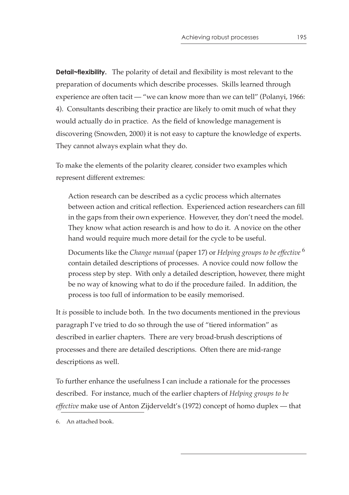**Detail~flexibility.** The polarity of detail and flexibility is most relevant to the preparation of documents which describe processes. Skills learned through experience are often tacit — "we can know more than we can tell" (Polanyi, 1966: 4). Consultants describing their practice are likely to omit much of what they would actually do in practice. As the field of knowledge management is discovering (Snowden, 2000) it is not easy to capture the knowledge of experts. They cannot always explain what they do.

To make the elements of the polarity clearer, consider two examples which represent different extremes:

Action research can be described as a cyclic process which alternates between action and critical reflection. Experienced action researchers can fill in the gaps from their own experience. However, they don't need the model. They know what action research is and how to do it. A novice on the other hand would require much more detail for the cycle to be useful.

Documents like the *Change manual* (paper 17) or *Helping groups to be effective* <sup>6</sup> contain detailed descriptions of processes. A novice could now follow the process step by step. With only a detailed description, however, there might be no way of knowing what to do if the procedure failed. In addition, the process is too full of information to be easily memorised.

It *is* possible to include both. In the two documents mentioned in the previous paragraph I've tried to do so through the use of "tiered information" as described in earlier chapters. There are very broad-brush descriptions of processes and there are detailed descriptions. Often there are mid-range descriptions as well.

To further enhance the usefulness I can include a rationale for the processes described. For instance, much of the earlier chapters of *Helping groups to be effective* make use of Anton Zijderveldt's (1972) concept of homo duplex — that

<sup>6.</sup> An attached book.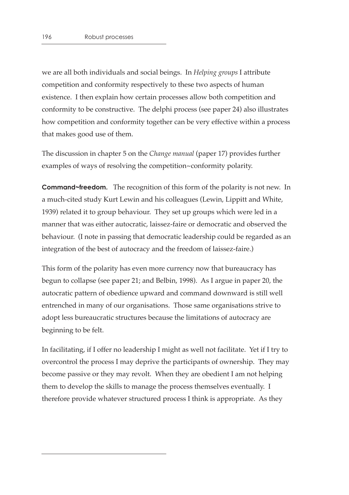we are all both individuals and social beings. In *Helping groups* I attribute competition and conformity respectively to these two aspects of human existence. I then explain how certain processes allow both competition and conformity to be constructive. The delphi process (see paper 24) also illustrates how competition and conformity together can be very effective within a process that makes good use of them.

The discussion in chapter 5 on the *Change manual* (paper 17) provides further examples of ways of resolving the competition~conformity polarity.

**Command~freedom.** The recognition of this form of the polarity is not new. In a much-cited study Kurt Lewin and his colleagues (Lewin, Lippitt and White, 1939) related it to group behaviour. They set up groups which were led in a manner that was either autocratic, laissez-faire or democratic and observed the behaviour. (I note in passing that democratic leadership could be regarded as an integration of the best of autocracy and the freedom of laissez-faire.)

This form of the polarity has even more currency now that bureaucracy has begun to collapse (see paper 21; and Belbin, 1998). As I argue in paper 20, the autocratic pattern of obedience upward and command downward is still well entrenched in many of our organisations. Those same organisations strive to adopt less bureaucratic structures because the limitations of autocracy are beginning to be felt.

In facilitating, if I offer no leadership I might as well not facilitate. Yet if I try to overcontrol the process I may deprive the participants of ownership. They may become passive or they may revolt. When they are obedient I am not helping them to develop the skills to manage the process themselves eventually. I therefore provide whatever structured process I think is appropriate. As they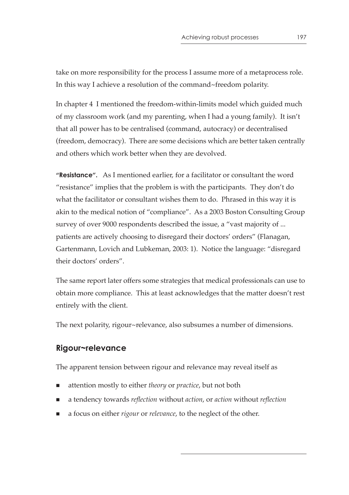take on more responsibility for the process I assume more of a metaprocess role. In this way I achieve a resolution of the command~freedom polarity.

In chapter 4 I mentioned the freedom-within-limits model which guided much of my classroom work (and my parenting, when I had a young family). It isn't that all power has to be centralised (command, autocracy) or decentralised (freedom, democracy). There are some decisions which are better taken centrally and others which work better when they are devolved.

**"Resistance".** As I mentioned earlier, for a facilitator or consultant the word "resistance" implies that the problem is with the participants. They don't do what the facilitator or consultant wishes them to do. Phrased in this way it is akin to the medical notion of "compliance". As a 2003 Boston Consulting Group survey of over 9000 respondents described the issue, a "vast majority of ... patients are actively choosing to disregard their doctors' orders" (Flanagan, Gartenmann, Lovich and Lubkeman, 2003: 1). Notice the language: "disregard their doctors' orders".

The same report later offers some strategies that medical professionals can use to obtain more compliance. This at least acknowledges that the matter doesn't rest entirely with the client.

The next polarity, rigour~relevance, also subsumes a number of dimensions.

#### **Rigour~relevance**

The apparent tension between rigour and relevance may reveal itself as

- attention mostly to either *theory* or *practice*, but not both
- a tendency towards *reflection* without *action*, or *action* without *reflection*
- a focus on either *rigour* or *relevance*, to the neglect of the other.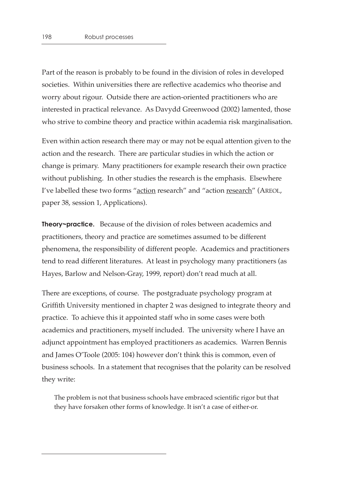Part of the reason is probably to be found in the division of roles in developed societies. Within universities there are reflective academics who theorise and worry about rigour. Outside there are action-oriented practitioners who are interested in practical relevance. As Davydd Greenwood (2002) lamented, those who strive to combine theory and practice within academia risk marginalisation.

Even within action research there may or may not be equal attention given to the action and the research. There are particular studies in which the action or change is primary. Many practitioners for example research their own practice without publishing. In other studies the research is the emphasis. Elsewhere I've labelled these two forms "action research" and "action research" (AREOL, paper 38, session 1, Applications).

**Theory~practice.** Because of the division of roles between academics and practitioners, theory and practice are sometimes assumed to be different phenomena, the responsibility of different people. Academics and practitioners tend to read different literatures. At least in psychology many practitioners (as Hayes, Barlow and Nelson-Gray, 1999, report) don't read much at all.

There are exceptions, of course. The postgraduate psychology program at Griffith University mentioned in chapter 2 was designed to integrate theory and practice. To achieve this it appointed staff who in some cases were both academics and practitioners, myself included. The university where I have an adjunct appointment has employed practitioners as academics. Warren Bennis and James O'Toole (2005: 104) however don't think this is common, even of business schools. In a statement that recognises that the polarity can be resolved they write:

The problem is not that business schools have embraced scientific rigor but that they have forsaken other forms of knowledge. It isn't a case of either-or.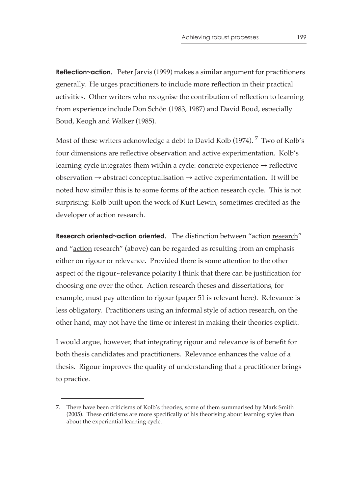**Reflection~action.** Peter Jarvis (1999) makes a similar argument for practitioners generally. He urges practitioners to include more reflection in their practical activities. Other writers who recognise the contribution of reflection to learning from experience include Don Schön (1983, 1987) and David Boud, especially Boud, Keogh and Walker (1985).

Most of these writers acknowledge a debt to David Kolb (1974).<sup>7</sup> Two of Kolb's four dimensions are reflective observation and active experimentation. Kolb's learning cycle integrates them within a cycle: concrete experience  $\rightarrow$  reflective observation  $\rightarrow$  abstract conceptualisation  $\rightarrow$  active experimentation. It will be noted how similar this is to some forms of the action research cycle. This is not surprising: Kolb built upon the work of Kurt Lewin, sometimes credited as the developer of action research.

**Research oriented~action oriented.** The distinction between "action research" and "action research" (above) can be regarded as resulting from an emphasis either on rigour or relevance. Provided there is some attention to the other aspect of the rigour~relevance polarity I think that there can be justification for choosing one over the other. Action research theses and dissertations, for example, must pay attention to rigour (paper 51 is relevant here). Relevance is less obligatory. Practitioners using an informal style of action research, on the other hand, may not have the time or interest in making their theories explicit.

I would argue, however, that integrating rigour and relevance is of benefit for both thesis candidates and practitioners. Relevance enhances the value of a thesis. Rigour improves the quality of understanding that a practitioner brings to practice.

<sup>7.</sup> There have been criticisms of Kolb's theories, some of them summarised by Mark Smith (2005). These criticisms are more specifically of his theorising about learning styles than about the experiential learning cycle.